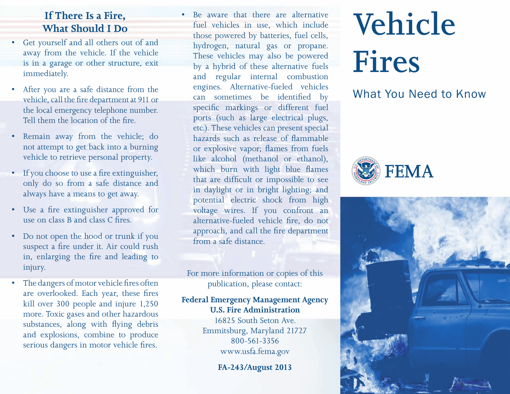### **If There Is a Fire, What Should I Do**

- • Get yourself and all others out of and away from the vehicle. If the vehicle is in a garage or other structure, exit immediately.
- After you are a safe distance from the vehicle, call the fire department at 911 or the local emergency telephone number. Tell them the location of the fire.
- Remain away from the vehicle; do not attempt to get back into a burning vehicle to retrieve personal property.
- If you choose to use a fire extinguisher, only do so from a safe distance and always have a means to get away.
- • Use a fire extinguisher approved for use on class B and class C fires.
- Do not open the hood or trunk if you suspect a fire under it. Air could rush in, enlarging the fire and leading to injury.
- The dangers of motor vehicle fires often are overlooked. Each year, these fires kill over 300 people and injure 1,250 more. Toxic gases and other hazardous substances, along with flying debris and explosions, combine to produce serious dangers in motor vehicle fires.

Be aware that there are alternative fuel vehicles in use, which include those powered by batteries, fuel cells, hydrogen, natural gas or propane. These vehicles may also be powered by a hybrid of these alternative fuels and regular internal combustion engines. Alternative-fueled vehicles can sometimes be identified by specific markings or different fuel ports (such as large electrical plugs, etc.). These vehicles can present special hazards such as release of flammable or explosive vapor; flames from fuels like alcohol (methanol or ethanol), which burn with light blue flames that are difficult or impossible to see in daylight or in bright lighting; and potential electric shock from high voltage wires. If you confront an alternative-fueled vehicle fire, do not approach, and call the fire department from a safe distance.

For more information or copies of this publication, please contact:

#### **Federal Emergency Management Agency U.S. Fire Administration**

16825 South Seton Ave. Emmitsburg, Maryland 21727 800-561-3356 www.usfa.fema.gov

**FA-243/August 2013**

# **Vehicle Fires**

# What You Need to Know